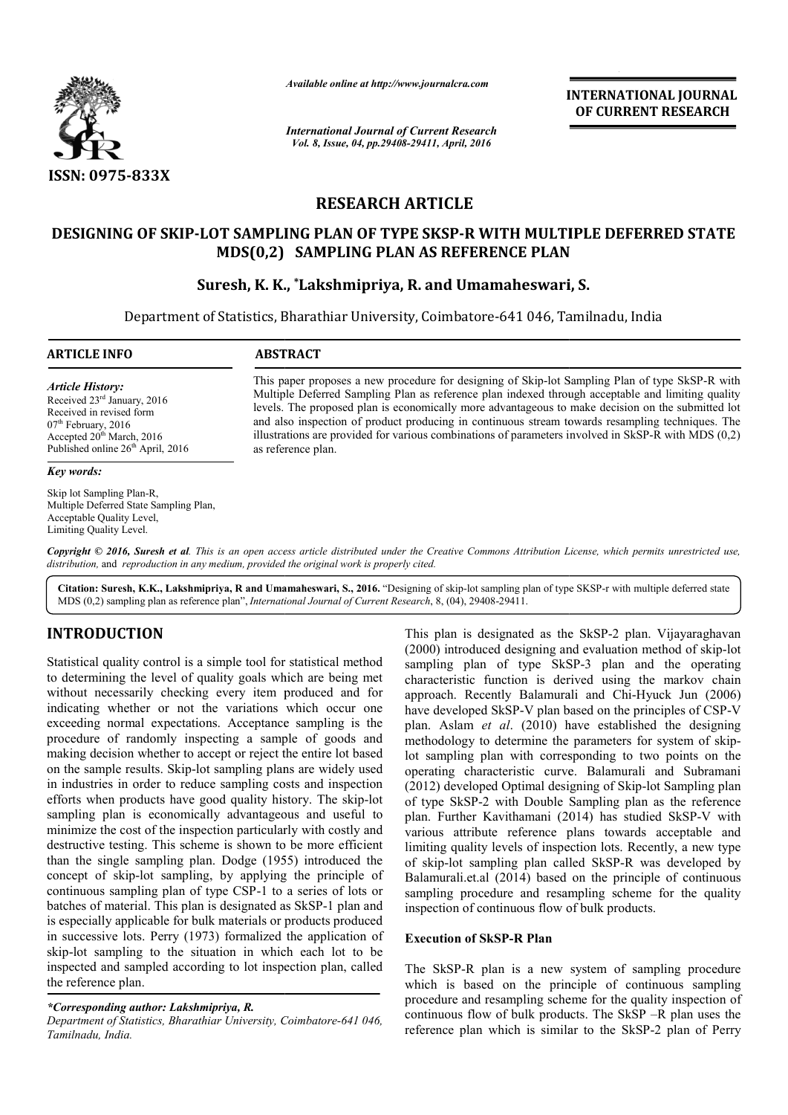

*Available online at http://www.journalcra.com*

*International Journal of Current Research Vol. 8, Issue, 04, pp.29408-29411, April, 2016*

**INTERNATIONAL JOURNAL OF CURRENT RESEARCH** 

# **RESEARCH ARTICLE**

## **DESIGNING OF SKIP-LOT SAMPLING PLAN OF TYPE SKSP LOT SKSP-R WITH MULTIPLE DEFERRED STATE MT SAMPLING PLAN OF TYPE SKSP-R WITH MULT<br>MDS(0,2) SAMPLING PLAN AS REFERENCE PLAN**

## **Suresh, K. K., \*Lakshmipriya, R. and Umamaheswari, S.**

Department of Statistics, Bharathiar University, Coimbatore-641 046, Tamilnadu, India

| <b>ARTICLE INFO</b>                                                                                                                                                                 | <b>ABSTRACT</b>                                                                                                                                                                                                                                                                                                                                                                                                                                                                                                                              |  |  |  |  |  |
|-------------------------------------------------------------------------------------------------------------------------------------------------------------------------------------|----------------------------------------------------------------------------------------------------------------------------------------------------------------------------------------------------------------------------------------------------------------------------------------------------------------------------------------------------------------------------------------------------------------------------------------------------------------------------------------------------------------------------------------------|--|--|--|--|--|
| <b>Article History:</b><br>Received $23rd$ January, 2016<br>Received in revised form<br>$07th$ February, 2016<br>Accepted $20th$ March, 2016<br>Published online $26th$ April, 2016 | This paper proposes a new procedure for designing of Skip-lot Sampling Plan of type SkSP-R with<br>Multiple Deferred Sampling Plan as reference plan indexed through acceptable and limiting quality<br>levels. The proposed plan is economically more advantageous to make decision on the submitted lot<br>and also inspection of product producing in continuous stream towards resampling techniques. The<br>illustrations are provided for various combinations of parameters involved in SkSP-R with MDS $(0,2)$<br>as reference plan. |  |  |  |  |  |
| Key words:                                                                                                                                                                          |                                                                                                                                                                                                                                                                                                                                                                                                                                                                                                                                              |  |  |  |  |  |
| Skip lot Sampling Plan-R.                                                                                                                                                           |                                                                                                                                                                                                                                                                                                                                                                                                                                                                                                                                              |  |  |  |  |  |

Copyright © 2016, Suresh et al. This is an open access article distributed under the Creative Commons Attribution License, which permits unrestricted use, *distribution,* and *reproduction in any medium, provided the original work is properly cited.*

Citation: Suresh, K.K., Lakshmipriya, R and Umamaheswari, S., 2016. "Designing of skip-lot sampling plan of type SKSP-r with multiple deferred state MDS (0,2) sampling plan as reference plan", *International Journal of Current Research* , 8, (04), 29408-29411.

# **INTRODUCTION**

Acceptable Quality Level, Limiting Quality Level.

Multiple Deferred State Sampling Plan,

Statistical quality control is a simple tool for statistical method to determining the level of quality goals which are being met without necessarily checking every item produced and for indicating whether or not the variations which occur one exceeding normal expectations. Acceptance sampling is the procedure of randomly inspecting a sample of goods and making decision whether to accept or reject the entire lot based on the sample results. Skip-lot sampling plans are widely used in industries in order to reduce sampling costs and inspection efforts when products have good quality history. The skip sampling plan is economically advantageous and useful to minimize the cost of the inspection particularly with costly and destructive testing. This scheme is shown to be more efficient than the single sampling plan. Dodge (1955) introduced the concept of skip-lot sampling, by applying the principle of continuous sampling plan of type CSP-1 to a series of lots or batches of material. This plan is designated as S is especially applicable for bulk materials or products produced in successive lots. Perry (1973) formalized the application of skip-lot sampling to the situation in which each lot to be skip-lot sampling to the situation in which each lot to be inspected and sampled according to lot inspection plan, called the reference plan. rmal expectations. Acceptance sampling is the randomly inspecting a sample of goods and on whether to accept or reject the entire lot based results. Skip-lot sampling plans are widely used in order to reduce sampling costs lot sampling, by applying the principle of<br>ling plan of type CSP-1 to a series of lots or<br>al. This plan is designated as SkSP-1 plan and

## *\*Corresponding author: Lakshmipriya, R.*

Department of Statistics, Bharathiar University, Coimbatore-641 046, *Tamilnadu, India.*

This plan is designated as the SkSP-2 plan. Vijayaraghavan (2000) introduced designing and evaluation method of skip-lot sampling plan of type SkSP-3 plan and the operating characteristic function is derived using the markov chain characteristic function is derived using the markov chain approach. Recently Balamurali and Chi-Hyuck Jun (2006) have developed SkSP-V plan based on the principles of CSP-V plan. Aslam *et al*. (2010) have established the designing plan. Aslam *et al.* (2010) have established the designing methodology to determine the parameters for system of skiplot sampling plan with corresponding to two points on the operating characteristic curve. Balamurali and Subramani (2012) developed Optimal designing of Skip-lot Sampling plan of type SkSP-2 with Double Sampling plan as the reference of type SkSP-2 with Double Sampling plan as the reference<br>plan. Further Kavithamani (2014) has studied SkSP-V with various attribute reference plans towards acceptable and limiting quality levels of inspection lots. Recently, a new type of skip-lot sampling plan called SkSP-R was developed by Balamurali.et.al (2014) based on the principle of continuous sampling procedure and resampling scheme for the quality inspection of continuous flow of bulk products.

### **Execution of SkSP-R Plan**

The SkSP-R plan is a new system of sampling procedure which is based on the principle of continuous sampling procedure and resampling scheme for the quality inspection of continuous flow of bulk products. The SkSP reference plan which is similar to the SkSP-2 plan of Perry i.et.al (2014) based on the principle of continuous<br>procedure and resampling scheme for the quality<br>of continuous flow of bulk products.<br> $\cdot$  **PR** plan is a new system of sampling procedure<br>based on the principle of conti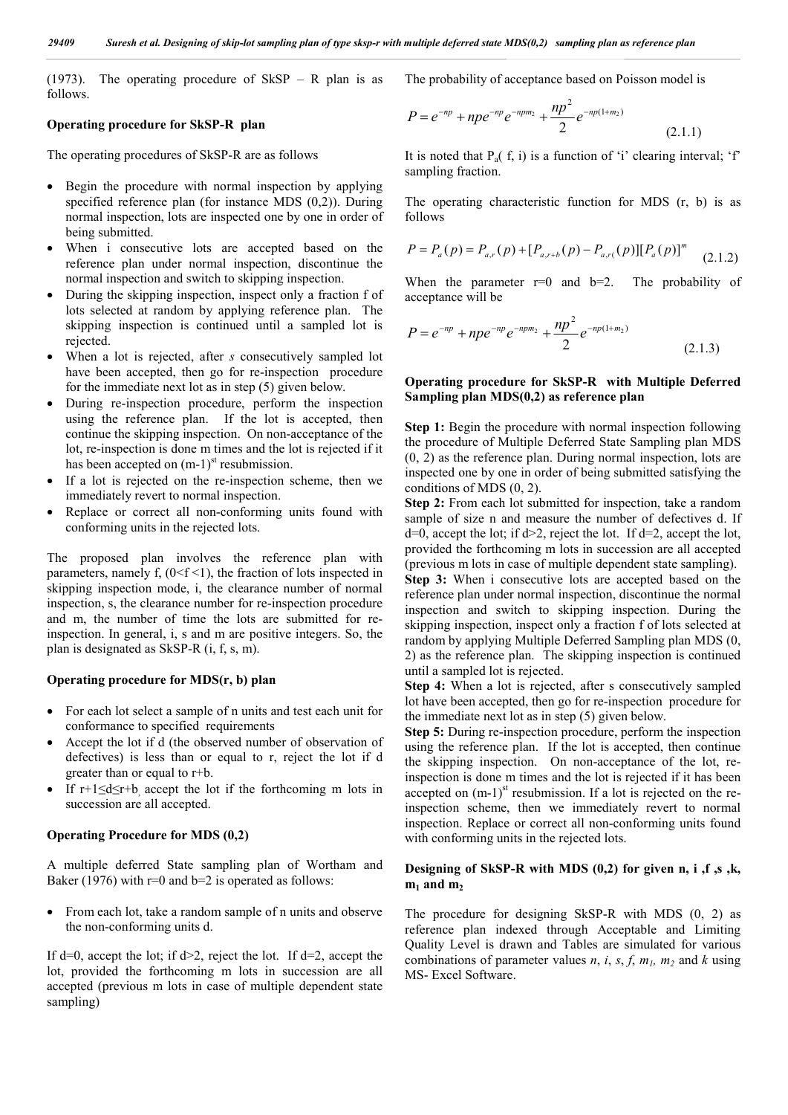(1973). The operating procedure of  $SkSP - R$  plan is as follows.

#### **Operating procedure for SkSP-R plan**

The operating procedures of SkSP-R are as follows

- Begin the procedure with normal inspection by applying specified reference plan (for instance MDS (0,2)). During normal inspection, lots are inspected one by one in order of being submitted.
- When i consecutive lots are accepted based on the reference plan under normal inspection, discontinue the normal inspection and switch to skipping inspection.
- During the skipping inspection, inspect only a fraction f of lots selected at random by applying reference plan. The skipping inspection is continued until a sampled lot is rejected.
- When a lot is rejected, after *s* consecutively sampled lot have been accepted, then go for re-inspection procedure for the immediate next lot as in step (5) given below.
- During re-inspection procedure, perform the inspection using the reference plan. If the lot is accepted, then continue the skipping inspection. On non-acceptance of the lot, re-inspection is done m times and the lot is rejected if it has been accepted on  $(m-1)$ <sup>st</sup> resubmission.
- If a lot is rejected on the re-inspection scheme, then we immediately revert to normal inspection.
- Replace or correct all non-conforming units found with conforming units in the rejected lots.

The proposed plan involves the reference plan with parameters, namely f,  $(0 < f < 1)$ , the fraction of lots inspected in skipping inspection mode, i, the clearance number of normal inspection, s, the clearance number for re-inspection procedure and m, the number of time the lots are submitted for reinspection. In general, i, s and m are positive integers. So, the plan is designated as SkSP-R (i, f, s, m).

#### **Operating procedure for MDS(r, b) plan**

- For each lot select a sample of n units and test each unit for conformance to specified requirements
- Accept the lot if d (the observed number of observation of defectives) is less than or equal to r, reject the lot if d greater than or equal to r+b.
- If r+1≤d≤r+b, accept the lot if the forthcoming m lots in succession are all accepted.

#### **Operating Procedure for MDS (0,2)**

A multiple deferred State sampling plan of Wortham and Baker (1976) with  $r=0$  and  $b=2$  is operated as follows:

• From each lot, take a random sample of n units and observe the non-conforming units d.

If d=0, accept the lot; if  $d>2$ , reject the lot. If d=2, accept the lot, provided the forthcoming m lots in succession are all accepted (previous m lots in case of multiple dependent state sampling)

The probability of acceptance based on Poisson model is

$$
P = e^{-np} + npe^{-np}e^{-npm_2} + \frac{np^2}{2}e^{-np(1+m_2)}
$$
\n(2.1.1)

It is noted that  $P_a(f, i)$  is a function of 'i' clearing interval; 'f' sampling fraction.

The operating characteristic function for MDS (r, b) is as follows

$$
P = P_a(p) = P_{a,r}(p) + [P_{a,r+b}(p) - P_{a,r}(p)][P_a(p)]^m \tag{2.1.2}
$$

When the parameter  $r=0$  and  $b=2$ . The probability of acceptance will be

$$
P = e^{-np} + npe^{-np}e^{-npm_2} + \frac{np^2}{2}e^{-np(1+m_2)}
$$
\n(2.1.3)

#### **Operating procedure for SkSP-R with Multiple Deferred Sampling plan MDS(0,2) as reference plan**

**Step 1:** Begin the procedure with normal inspection following the procedure of Multiple Deferred State Sampling plan MDS (0, 2) as the reference plan. During normal inspection, lots are inspected one by one in order of being submitted satisfying the conditions of MDS (0, 2).

**Step 2:** From each lot submitted for inspection, take a random sample of size n and measure the number of defectives d. If  $d=0$ , accept the lot; if  $d>2$ , reject the lot. If  $d=2$ , accept the lot, provided the forthcoming m lots in succession are all accepted (previous m lots in case of multiple dependent state sampling).

**Step 3:** When i consecutive lots are accepted based on the reference plan under normal inspection, discontinue the normal inspection and switch to skipping inspection. During the skipping inspection, inspect only a fraction f of lots selected at random by applying Multiple Deferred Sampling plan MDS (0, 2) as the reference plan. The skipping inspection is continued until a sampled lot is rejected.

**Step 4:** When a lot is rejected, after s consecutively sampled lot have been accepted, then go for re-inspection procedure for the immediate next lot as in step (5) given below.

**Step 5:** During re-inspection procedure, perform the inspection using the reference plan. If the lot is accepted, then continue the skipping inspection. On non-acceptance of the lot, reinspection is done m times and the lot is rejected if it has been accepted on  $(m-1)$ <sup>st</sup> resubmission. If a lot is rejected on the reinspection scheme, then we immediately revert to normal inspection. Replace or correct all non-conforming units found with conforming units in the rejected lots.

### **Designing of SkSP-R with MDS (0,2) for given n, i ,f ,s ,k,**   $m_1$  and  $m_2$

The procedure for designing SkSP-R with MDS (0, 2) as reference plan indexed through Acceptable and Limiting Quality Level is drawn and Tables are simulated for various combinations of parameter values  $n$ ,  $i$ ,  $s$ ,  $f$ ,  $m<sub>l</sub>$ ,  $m<sub>2</sub>$  and  $k$  using MS- Excel Software.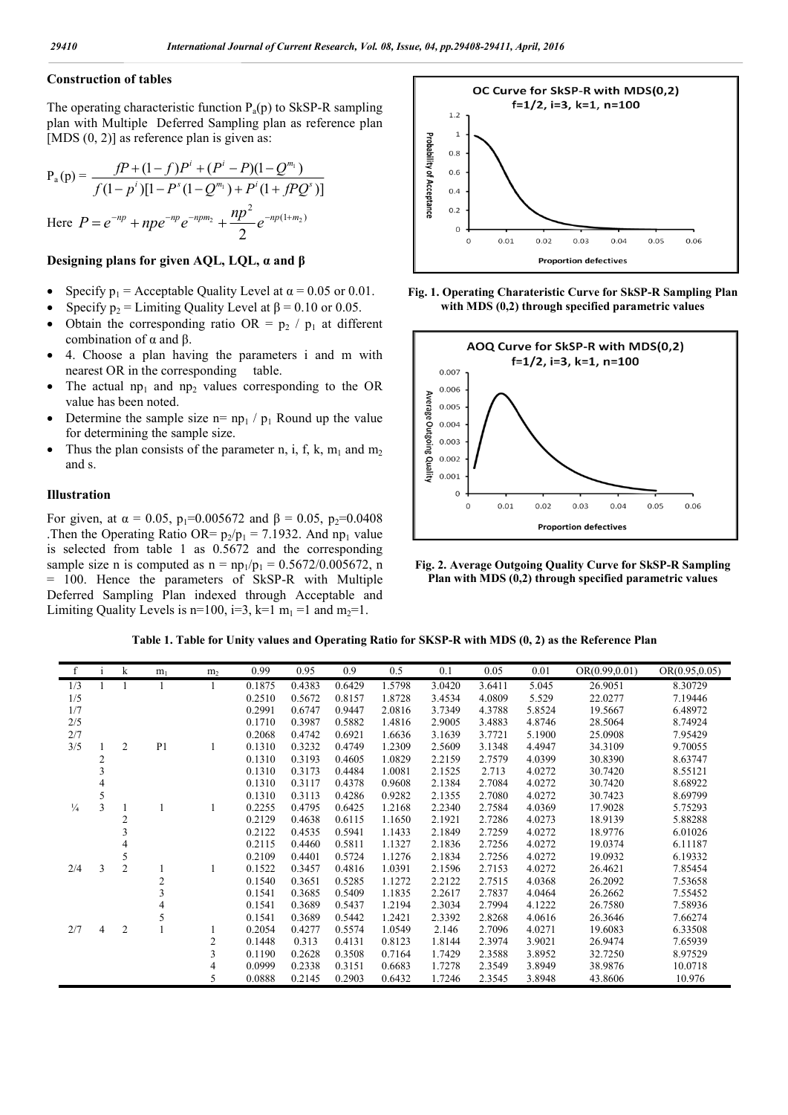### **Construction of tables**

The operating characteristic function  $P_a(p)$  to SkSP-R sampling plan with Multiple Deferred Sampling plan as reference plan [MDS  $(0, 2)$ ] as reference plan is given as:

$$
P_a(p) = \frac{fP + (1 - f)P^i + (P^i - P)(1 - Q^{m_1})}{f(1 - p^i)[1 - P^s(1 - Q^{m_1}) + P^i(1 + fPQ^s)]}
$$
  
Here  $P = e^{-np} + np e^{-np} e^{-npm_2} + \frac{np^2}{2} e^{-np(1 + m_2)}$ 

### **Designing plans for given AQL, LQL, α and β**

- Specify  $p_1$  = Acceptable Quality Level at  $\alpha$  = 0.05 or 0.01.
- Specify  $p_2$  = Limiting Quality Level at  $\beta$  = 0.10 or 0.05.
- Obtain the corresponding ratio OR =  $p_2 / p_1$  at different combination of  $α$  and  $β$ .
- 4. Choose a plan having the parameters i and m with nearest OR in the corresponding table.
- The actual  $np_1$  and  $np_2$  values corresponding to the OR value has been noted.
- Determine the sample size  $n= np_1 / p_1$  Round up the value for determining the sample size.
- Thus the plan consists of the parameter n, i, f, k,  $m_1$  and  $m_2$ and s.

#### **Illustration**

For given, at  $\alpha = 0.05$ ,  $p_1 = 0.005672$  and  $\beta = 0.05$ ,  $p_2 = 0.0408$ .Then the Operating Ratio OR=  $p_2/p_1 = 7.1932$ . And np<sub>1</sub> value is selected from table 1 as 0.5672 and the corresponding sample size n is computed as  $n = np_1/p_1 = 0.5672/0.005672$ , n = 100. Hence the parameters of SkSP-R with Multiple Deferred Sampling Plan indexed through Acceptable and Limiting Quality Levels is n=100, i=3, k=1 m<sub>1</sub> =1 and m<sub>2</sub>=1.



**Fig. 1. Operating Charateristic Curve for SkSP-R Sampling Plan with MDS (0,2) through specified parametric values**



**Fig. 2. Average Outgoing Quality Curve for SkSP-R Sampling Plan with MDS (0,2) through specified parametric values**

|  |  |  | Table 1. Table for Unity values and Operating Ratio for SKSP-R with MDS (0, 2) as the Reference Plan |
|--|--|--|------------------------------------------------------------------------------------------------------|
|  |  |  |                                                                                                      |

| f             | $\mathbf{I}$   | k              | m <sub>1</sub> | m <sub>2</sub> | 0.99   | 0.95   | 0.9    | 0.5    | 0.1    | 0.05   | 0.01   | OR(0.99, 0.01) | OR(0.95, 0.05) |
|---------------|----------------|----------------|----------------|----------------|--------|--------|--------|--------|--------|--------|--------|----------------|----------------|
| 1/3           |                |                |                |                | 0.1875 | 0.4383 | 0.6429 | 1.5798 | 3.0420 | 3.6411 | 5.045  | 26.9051        | 8.30729        |
| 1/5           |                |                |                |                | 0.2510 | 0.5672 | 0.8157 | 1.8728 | 3.4534 | 4.0809 | 5.529  | 22.0277        | 7.19446        |
| 1/7           |                |                |                |                | 0.2991 | 0.6747 | 0.9447 | 2.0816 | 3.7349 | 4.3788 | 5.8524 | 19.5667        | 6.48972        |
| 2/5           |                |                |                |                | 0.1710 | 0.3987 | 0.5882 | 1.4816 | 2.9005 | 3.4883 | 4.8746 | 28.5064        | 8.74924        |
| 2/7           |                |                |                |                | 0.2068 | 0.4742 | 0.6921 | 1.6636 | 3.1639 | 3.7721 | 5.1900 | 25.0908        | 7.95429        |
| 3/5           |                | $\overline{2}$ | P <sub>1</sub> |                | 0.1310 | 0.3232 | 0.4749 | 1.2309 | 2.5609 | 3.1348 | 4.4947 | 34.3109        | 9.70055        |
|               | 2              |                |                |                | 0.1310 | 0.3193 | 0.4605 | 1.0829 | 2.2159 | 2.7579 | 4.0399 | 30.8390        | 8.63747        |
|               | 3              |                |                |                | 0.1310 | 0.3173 | 0.4484 | 1.0081 | 2.1525 | 2.713  | 4.0272 | 30.7420        | 8.55121        |
|               |                |                |                |                | 0.1310 | 0.3117 | 0.4378 | 0.9608 | 2.1384 | 2.7084 | 4.0272 | 30.7420        | 8.68922        |
|               | 5              |                |                |                | 0.1310 | 0.3113 | 0.4286 | 0.9282 | 2.1355 | 2.7080 | 4.0272 | 30.7423        | 8.69799        |
| $\frac{1}{4}$ | $\overline{3}$ |                |                |                | 0.2255 | 0.4795 | 0.6425 | 1.2168 | 2.2340 | 2.7584 | 4.0369 | 17.9028        | 5.75293        |
|               |                | 2              |                |                | 0.2129 | 0.4638 | 0.6115 | 1.1650 | 2.1921 | 2.7286 | 4.0273 | 18.9139        | 5.88288        |
|               |                |                |                |                | 0.2122 | 0.4535 | 0.5941 | 1.1433 | 2.1849 | 2.7259 | 4.0272 | 18.9776        | 6.01026        |
|               |                |                |                |                | 0.2115 | 0.4460 | 0.5811 | 1.1327 | 2.1836 | 2.7256 | 4.0272 | 19.0374        | 6.11187        |
|               |                | 5              |                |                | 0.2109 | 0.4401 | 0.5724 | 1.1276 | 2.1834 | 2.7256 | 4.0272 | 19.0932        | 6.19332        |
| 2/4           | 3              | $\overline{2}$ |                |                | 0.1522 | 0.3457 | 0.4816 | 1.0391 | 2.1596 | 2.7153 | 4.0272 | 26.4621        | 7.85454        |
|               |                |                | 2              |                | 0.1540 | 0.3651 | 0.5285 | 1.1272 | 2.2122 | 2.7515 | 4.0368 | 26.2092        | 7.53658        |
|               |                |                |                |                | 0.1541 | 0.3685 | 0.5409 | 1.1835 | 2.2617 | 2.7837 | 4.0464 | 26.2662        | 7.55452        |
|               |                |                |                |                | 0.1541 | 0.3689 | 0.5437 | 1.2194 | 2.3034 | 2.7994 | 4.1222 | 26.7580        | 7.58936        |
|               |                |                |                |                | 0.1541 | 0.3689 | 0.5442 | 1.2421 | 2.3392 | 2.8268 | 4.0616 | 26.3646        | 7.66274        |
| 2/7           | 4              | $\overline{2}$ |                |                | 0.2054 | 0.4277 | 0.5574 | 1.0549 | 2.146  | 2.7096 | 4.0271 | 19.6083        | 6.33508        |
|               |                |                |                | 2              | 0.1448 | 0.313  | 0.4131 | 0.8123 | 1.8144 | 2.3974 | 3.9021 | 26.9474        | 7.65939        |
|               |                |                |                | 3              | 0.1190 | 0.2628 | 0.3508 | 0.7164 | 1.7429 | 2.3588 | 3.8952 | 32.7250        | 8.97529        |
|               |                |                |                |                | 0.0999 | 0.2338 | 0.3151 | 0.6683 | 1.7278 | 2.3549 | 3.8949 | 38.9876        | 10.0718        |
|               |                |                |                |                | 0.0888 | 0.2145 | 0.2903 | 0.6432 | 1.7246 | 2.3545 | 3.8948 | 43.8606        | 10.976         |